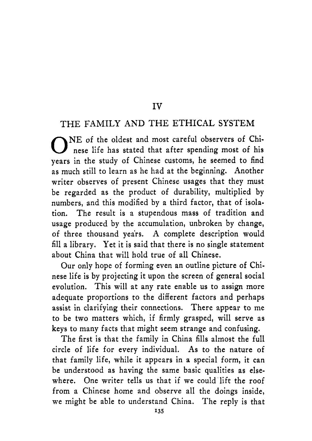#### **IV**

#### THE FAMILY AND THE ETHICAL SYSTEM

NE of the oldest and most careful observers of Chi-<br>
nese life has stated that after spending most of his years in the study of Chinese customs, he seemed to find as much still to learn as he had at the beginning. Another writer observes of present Chinese usages that they must be regarded as the product of durability, multiplied by numbers, and this modified by a third factor, that of isolation. The result is a stupendous mass of tradition and usage produced by the accumulation, unbroken by change, of three thousand years. A complete description would fill a library. Yet it is said that there is no single statement about China that will hold true of all Chinese.

Our only hope of forming even an outline picture of Chinese life is by projecting it upon the screen of general social evolution. This will at any rate enable us to assign more adequate proportions to the different factors and perhaps assist in clarifying their connections. There appear to me to be two matters which, if firmly grasped, will serve as keys to many facts that might seem strange and confusing.

The first is that the family in China fills almost the full circle of life for every individual. As to the nature of that family life, while it appears in a special form, it can be understood as having the same basic qualities as elsewhere. One writer tells us that if we could'lift the roof from a Chinese home and observe all the doings inside, we might be able to understand China. The reply is that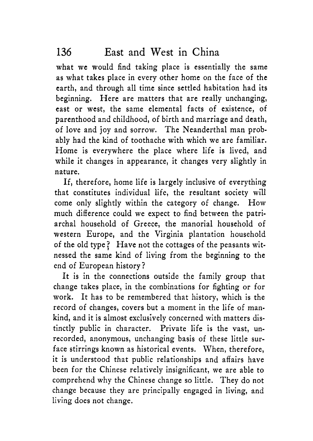what we would find taking place is essentially the same as what takes place in every other home on the face of the earth, and through all time since settled habitation had its beginning. Here are matters that are really unchanging, east or west, the same elemental facts of existence, of parenthood and childhood, of birth and marriage and death, of love and joy and sorrow. The Neanderthal man probably had the kind of toothache with which we are familiar. Home is everywhere the place where life is lived, and while it changes in appearance, it changes very slightly in nature.

If, therefore, home life is largely inclusive of everything that constitutes individual life, the resultant society will come only slightly within the category of change. How much difference could we expect to find between the patriarchal household of Greece, the manorial household of western Europe, and the Virginia plantation household of the old type? Have not the cottages of the peasants witnessed the same kind of living from the beginning to the end of European history?

It is in the connections outside the family group that change takes place, in the combinations for fighting or for work. It has to be remembered that history, which is the record of changes, covers but a moment in the life of mankind, and it is almost exclusively concerned with matters distinctly public in character. Private life is the vast, unrecorded, anonymous, unchanging basis of these little surface stirrings known as historical events. When, therefore, it is understood that public relationships and affairs have been for the Chinese relatively insignificant, we are able to comprehend why the Chinese change so little. They do not change because they are principally engaged in living, and living does not change.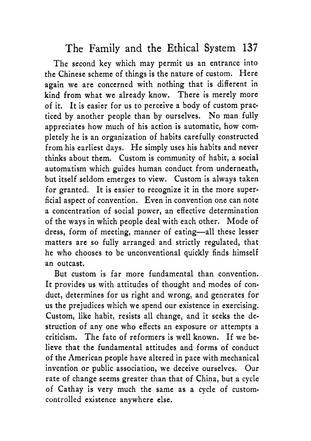The second key which may permit us an entrance into the Chinese scheme of things is the nature of custom. Here again we are concerned with nothing that is different in kind from what we already know, There is merely more of it. It is easier for us to perceive a body of custom practiced by another people than by ourselves. No man fully appreciates how much of his action is automatic, how completely he is an organization of habits carefully constructed from his earliest days. He simply uses his habits and never thinks about them. Custom is community of habit, a social automatism which guides human conduct from underneath, but itself seldom emerges to view. Custom is always taken for granted. It is easier to recognize it in the more superficial aspect of convention. Even in convention one can note a concentration of social power, an effective determination of the ways in which people deal with each other. Mode of dress, form of meeting, manner of eating-all these lesser matters are so fully arranged and strictly regulated, that he who chooses to be unconventional quickly finds himself an outcast.

But custom is far more fundamental than convention. It provides us with attitudes of thought and modes of conduct, determines for us right and wrong, and generates for us the prejudices which we spend our existence in exercising. Custom, like habit, resists all change, and it seeks the destruction of any one who effects an exposure or attempts a criticism. The fate of reformers is well known. If we believe that the fundamental attitudes and forms of conduct of the American people have altered in pace with mechanical invention or public association, we deceive ourselves. Our rate of change seems greater than that of China, but a cycle of Cathay is very much the same as a cycle of customcontrolled existence anywhere else.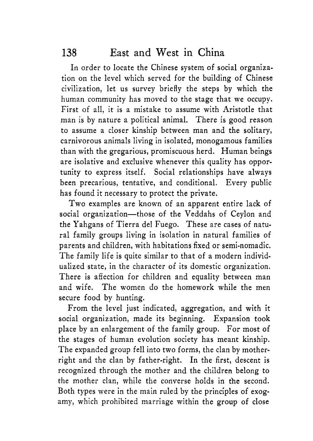In order to locate the Chinese system of social organization on the level which served for the building of Chinese civilization, let us survey briefly the steps by which the human community has moved to the stage that we occupy. First of all, it is a mistake to assume with Aristotle that man is by nature a political animal. There is good reason to assume a closer kinship between man and the solitary, carnivorous animals living in isolated, monogamous families than with the gregarious, promiscuous herd. Human beings are isolative and exclusive whenever this quality has opportunity to express itself. Social relationships have always been precarious, tentative, and conditional. Every public has found it necessary to protect the private.

Two examples are known of an apparent entire lack of social organization-those of the Veddahs of Ceylon and the Yahgans of Tierra del Fuego. These are cases of natural family groups living in isolation in natural families of parents and children, with habitations fixed or semi-nomadic. The family life is quite similar to that of a modern individualized state, in the character of its domestic organization. There is affection for children and equality between man and wife. The women do the homework while the men secure food by hunting.

From the level just indicated, aggregation, and with it social organization, made its beginning. Expansion took place by an enlargement of the family group. For most of the stages of human evolution society has meant kinship. The expanded group fell into two forms, the clan by motherright and the clan by father-right. In the first, descent is recognized through the mother and the children belong to the mother clan, while the converse holds in the second. Both types were in the main ruled by the principles of exogamy, which prohibited marriage within the group of close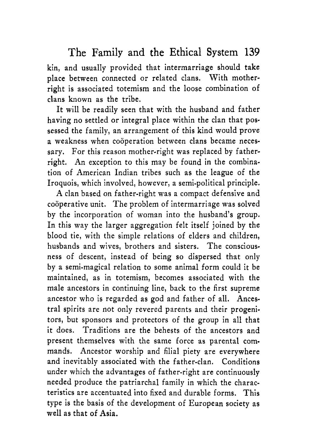kin, and usually provided that intermarriage should take place between connected or related clans. With motherright is associated totemism and the loose combination of clans known as the tribe.

It will be readily seen that with the husband and father having no settled or integral place within the clan that possessed the family, an arrangement of this kind would prove a weakness when cooperation between clans became necessary. For this reason mother-right was replaced by fatherright. An exception to this may be found in the combination of American Indian tribes such as the league of the Iroquois, which involved, however, a semi-political principle.

A clan based on father-right was a compact defensive and cooperative unit. The problem of intermarriage was solved by the incorporation of woman into the husband's group. In this way the larger aggregation felt itself joined by the blood tie, with the simple relations of elders and children, husbands and wives, brothers and sisters. The consciousness of descent, instead of being so dispersed that only by a semi-magical relation to some animal form could it be maintained, as in totemism, becomes associated with the male ancestors in continuing line, back to the first supreme ancestor who is regarded as god and father of all. Ancestral spirits are not only revered parents and their progenitors, but sponsors and protectors of the group in all that it does. Traditions are the behests of the ancestors and present themselves with the same force as parental commands. Ancestor worship and filial piety are everywhere and inevitably associated with the father-clan. Conditions under which the advantages of father-right are continuously needed produce the patriarchal family in which the characteristics are accentuated into fixed and durable forms. This type is the basis of the development of European society as well as that of Asia.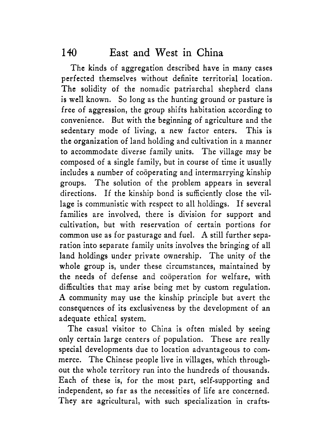The kinds of aggregation described have in many cases perfected themselves without definite territorial location. The solidity of the nomadic patriarchal shepherd clans is well known. So long as the hunting ground or pasture is free of aggression, the group shifts habitation according to convenience. But with the beginning of agriculture and the sedentary mode of living, a new factor enters. This is the organization of land holding and cultivation in a manner to accommodate diverse family units. The village may be composed of a single family, but in course of time it usually includes a number of cooperating and intermarrying kinship groups. The solution of the problem appears in several directions. If the kinship bond is sufficiently close the village is communistic with respect to all holdings. If several families are involved, there is division for support and cultivation, but with reservation of certain portions for common use as for pasturage and fuel. **A** still further separation into separate family units involves the bringing of all land holdings under private ownership. The unity of the whole group is, under these circumstances, maintained by the needs of defense and cooperation for welfare, with difficulties that may arise being met by custom regulation. **A** community may use the kinship principle but avert the consequences of its exclusiveness by the development of an adequate ethical system.

The casual visitor to China is often misled by seeing only certain large centers of population. These are really special developments due to location advantageous to commerce. The Chinese people live in villages, which throughout the whole territory run into the hundreds of thousands. Each of these is, for the most part, self-supporting and independent, so far as the necessities of life are concerned. They are agricultural, with such specialization in crafts-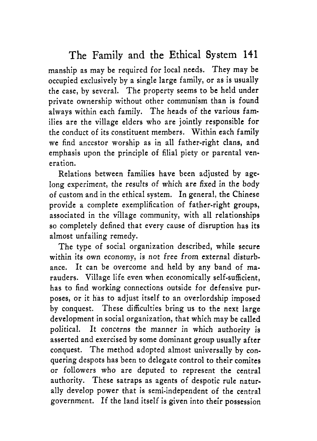manship as may be required for local needs. They may be occupied exclusively by a single large family, or as is usually the case, by several. The property seems to be held under private ownership without other communism than is found always within each family. The heads of the various families are the village elders who are jointly responsible for the conduct of its constituent members. Within each family we find ancestor worship as in all father-right clans, and emphasis upon the principle of filial piety or parental veneration.

Relations between families have been adjusted by agelong experiment, the results of which are fixed in the body of custom and in the ethical system. In general, the Chinese provide a complete exemplification of father-right groups, associated in the village community, with all relationships so completely defined that every cause of disruption has its almost unfailing remedy.

The type of social organization described, while secure within its own economy, is not free from external disturbance. It can be overcome and held by any band of marauders. Village life even when economically self-sufficient, has to find working connections outside for defensive purposes, or it has to adjust itself to an overlordship imposed by conquest. These difficulties bring **us** to the next large development in social organization, that which may be called political. It concerns the manner in which authority is asserted and exercised by some dominant group usually after conquest. The method adopted almost universally by conquering despots has been to delegate control to their comites or followers who are deputed to represent the central authority. These satraps as agents of despotic rule naturally develop power that is semi-independent of the central government. If the land itself is given into their possession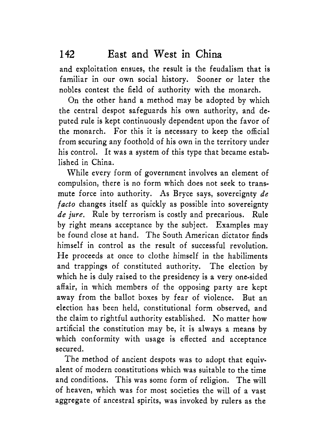and exploitation ensues, the result is the feudalism that is familiar in our own social history. Sooner or later the nobles contest the field of authority with the monarch.

On the other hand a method may be adopted by which the central despot safeguards his own authority, and deputed rule is kept continuously dependent upon the favor of the monarch. For this it is necessary to keep the official from securing any foothold of his own in the territory under his control. It was a system of this type that became established in China.

While every form of government involves an element of compulsion, there is no form which does not seek to transmute force into authority. **As** Bryce says, sovereignty *de facto* changes itself as quickly as possible into sovereignty *de jure.* Rule by terrorism is costly and precarious. Rule by right means acceptance by the subject. Examples may be found close at hand. The South American dictator finds himself in control as the result of successful revolution. He proceeds at once to clothe himself in the habiliments and trappings of constituted authority. The election by which he is duly raised to the presidency is a very one-sided affair, in which members of the opposing party are kept away from the ballot boxes by fear of violence. But an election has been held, constitutional form observed, and the claim to rightful authority established. No matter how artificial the constitution may be, it is always a means by which conformity with usage is effected and acceptance secured.

The method of ancient despots was to adopt that equivalent of modern constitutions which was suitable to the time and conditions. This was some form of religion. The will of heaven, which was for most societies the will of a vast aggregate of ancestral spirits, was invoked by rulers as the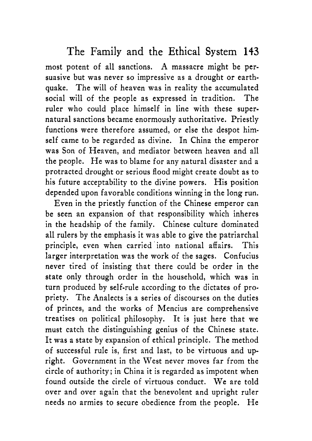most potent of all sanctions. **A** massacre might be persuasive but was never so impressive as a drought or earthquake. The will of heaven was in reality the accumulated social will of the people as expressed in tradition. The ruler who could place himself in line with these supernatural sanctions became enormously authoritative. Priestly functions were therefore assumed, or else the despot himself came to be regarded as divine. In China the emperor was Son of Heaven, and mediator between heaven and all the people. He was to blame for any natural disaster and a protracted drought or serious flood might create doubt as to his future acceptability to the divine powers. His position depended upon favorable conditions winning in the long run.

Even in the priestly function of the Chinese emperor can be seen an expansion of that responsibility which inheres in the headship of the family. Chinese culture dominated all rulers by the emphasis it was able to give the patriarchal principle, even when carried into national affairs. This larger interpretation was the work of the sages. Confucius never tired of insisting that there could be order in the state only through order in the household, which was in turn produced by self-rule according to the dictates of propriety. The Analects is a series of discourses on the duties of princes, and the works of Mencius are comprehensive treatises on political philosophy. It is just here that we must catch the distinguishing genius of the Chinese state. It was a state by expansion of ethical principle. The method of successful rule is, first and last, to be virtuous and upright. Government in the West never moves far from the circle of authority; in China it is regarded as impotent when found outside the circle of virtuous conduct. We are told over and over again that the benevolent and upright ruler needs no armies to secure obedience from the people. He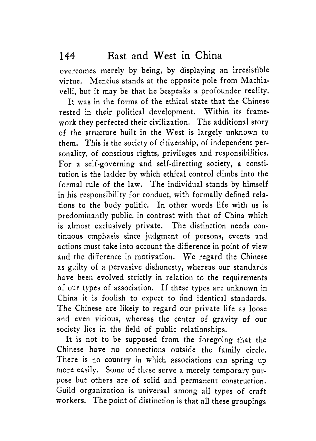overcomes merely by being, by displaying an irresistible virtue. Mencius stands at the opposite pole from Machiavelli, but it may be that he bespeaks a profounder reality.

It was in the forms of the ethical state that the Chinese rested in their political development. Within its framework they perfected their civilization. The additional story of the structure built in the West is largely unknown to them. This is the society of citizenship, of independent personality, of conscious rights, privileges and responsibilities. For a self-governing and self-directing society, a constitution is the ladder by which ethical control climbs into the formal rule of the law. The individual stands by himself in his responsibility for conduct, with formally defined relations to the body politic. In other words life with us is predominantly public, in contrast with that of China which is almost exclusively private. The distinction needs continuous emphasis since judgment of persons, events and actions must take into account the difference in point of view and the difference in motivation. We regard the Chinese as guilty of a pervasive dishonesty, whereas our standards have been evolved strictly in relation to the requirements of our types of association. If these types are unknown in China it is foolish to expect to find identical standards. The Chinese are likely to regard our private life as loose and even vicious, whereas the center of gravity of our society lies in the field of public relationships.

It is not to be supposed from the foregoing that the Chinese have no connections outside the family circle. There is no country in which associations can spring up more easily. Some of these serve a merely temporary purpose but others are of solid and permanent construction. Guild organization is universal among all types of craft workers. The point of distinction is that all these groupings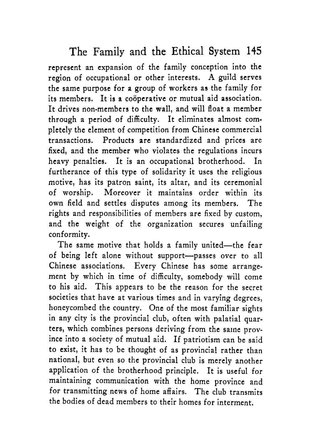represent an expansion of the family conception into the region of occupational or other interests. **A** guild serves the same purpose for a group of workers as the family for its members. It is a coöperative or mutual aid association. It drives non-members to the wall, and will float a member through a period of difficulty. It eliminates almost completely the element of competition from Chinese commercial transactions. Products are standardized and prices are fixed, and the member who violates the regulations incurs heavy penalties. It is an occupational brotherhood. In furtherance of this type of solidarity it uses the religious motive, has its patron saint, its altar, and its ceremonial of worship. Moreover it maintains order within its own field and settles disputes among its members. The rights and responsibilities of members are fixed by custom, and the weight of the organization secures unfailing conformity.

The same motive that holds a family united-the fear of being left alone without support-passes over to all Chinese associations. Every Chinese has some arrangement by which in time of difficulty, somebody will come to his aid. This appears to be the reason for the secret societies that have at various times and in varying degrees, honeycombed the country. One of the most familiar sights in any city is the provincial club, often with palatial quarters, which combines persons deriving from the same province into a society of mutual aid. If patriotism can be said to exist, it has to be thought of as provincial rather than national, but even so the provincial club is merely another application of the brotherhood principle. It is useful for maintaining communication with the home province and for transmitting news of home affairs. The club transmits the bodies of dead members to their homes for interment,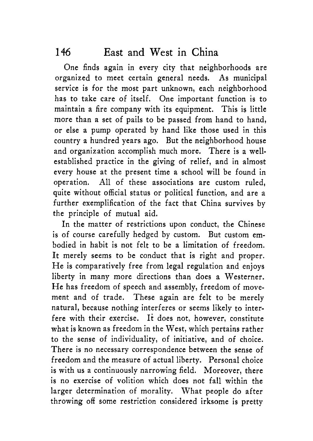One finds again in every city that neighborhoods are organized to meet certain general needs. **As** municipal service is for the most part unknown, each neighborhood has to take care of itself. One important function is to maintain a fire company with its equipment. This is little more than a set of pails to be passed from hand to hand, or else a pump operated by hand like those used in this country a hundred years ago. But the neighborhood house and organization accomplish much more. There is a wellestablished practice in the giving of relief, and in almost every house at the present time a school will be found in operation. All of these associations are custom ruled, quite without official status or political function, and are a further exemplification of the fact that China survives by the principle of mutual aid.

In the matter of restrictions upon conduct, the Chinese is of course carefully hedged by custom. But custom embodied in habit is not felt to be a limitation of freedom. It merely seems to be conduct that is right and proper. He is comparatively free from legal regulation and enjoys liberty in many more directions than does a Westerner. He has freedom of speech and assembly, freedom of movement and of trade. These again are felt to be merely natural, because nothing interferes or seems likely to interfere with their exercise. It does not, however, constitute what is known as freedom in the West, which pertains rather to the sense of individuality, of initiative, and of choice. There is no necessary correspondence between the sense of freedom and the measure of actual liberty. Personal choice is with us a continuously narrowing field. Moreover, there is no exercise of volition which does not fall within the larger determination of morality. What people do after throwing off some restriction considered irksome is pretty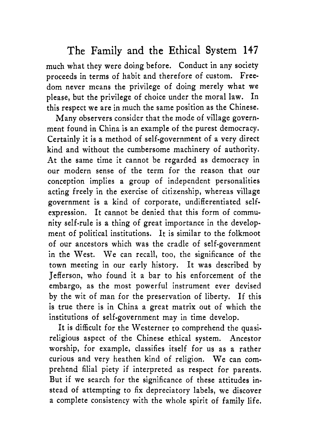much what they were doing before. Conduct in any society proceeds in terms of habit and therefore of custom. Freedom never means the privilege of doing merely what we please, but the privilege of choice under the moral law. In this respect we are in much the same position as the Chinese.

Many observers consider that the mode of village government found in China is an example of the purest democracy. Certainly it is a method of self-government of a very direct kind and without the cumbersome machinery of authority. At the same time it cannot be regarded as democracy in our modern sense of the term for the reason that our conception implies a group of independent personalities acting freely in the exercise of citizenship, whereas village government is a kind of corporate, undifferentiated selfexpression. It cannot be denied that this form of community self-rule is a thing of great importance in the development of political institutions. It is similar to the folkmoot of our ancestors which was the cradle of self-government in the West. We can recall, too, the significance of the town meeting in our early history. It was described by Jefferson, who found it a bar to his enforcement of the embargo, as the most powerful instrument ever devised by the wit of man for the preservation of liberty. If this is true there is in China a great matrix out of which the institutions of self-government may in time develop.

It is difficult for the Westerner to comprehend the quasireligious aspect of the Chinese ethical system. Ancestor worship, for example, classifies itself for us as a rather curious and very heathen kind of religion. We can comprehend filial piety if interpreted as respect for parents. But if we search for the significance of these attitudes instead of attempting to fix depreciatory labels, we discover a complete consistency with the whole spirit of family life.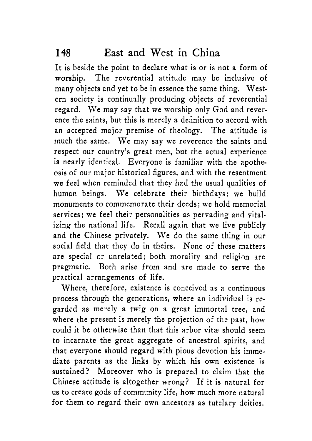It is beside the point to declare what is or is not a form of worship. The reverential attitude may be inclusive of many objects and yet to be in essence the same thing. Western society is continually producing objects of reverential regard. We may say that we worship only God and reverence the saints, but this is merely a definition to accord with an accepted major premise of theology. The attitude is much the same. We may say we reverence the saints and respect our country's great men, but the actual experience is nearly identical. Everyone is familiar with the apotheosis of our major historical figures, and with the resentment we feel when reminded that they had the usual qualities of human beings. We celebrate their birthdays; we build monuments to commemorate their deeds; we hold memorial services; we feel their personalities as pervading and vitalizing the national life. Recall again that we live publicly and the Chinese privately. We do the same thing in our social field that they do in theirs. None of these matters are special or unrelated; both morality and religion are pragmatic. Both arise from and are made to serve the practical arrangements of life.

Where, therefore, existence is conceived as a continuous process through the generations, where an individual is regarded as merely a twig on a great immortal tree, and where the present is merely the projection of the past, how could it be otherwise than that this arbor vita should seem to incarnate the great aggregate of ancestral spirits, and that everyone should regard with pious devotion his immediate parents as the links by which his own existence is sustained? Moreover who is prepared to claim that the Chinese attitude is altogether wrong? If it is natural for us to create gods of community life, how much more natural for them to regard their own ancestors as tutelary deities.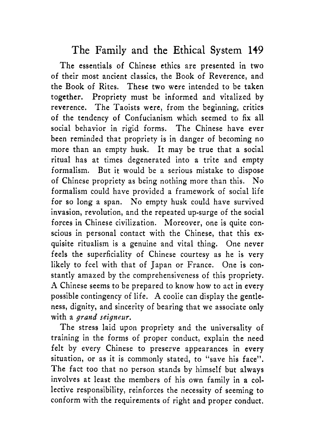The essentials of Chinese ethics are presented in two of their most ancient classics, the Book of Reverence, and the Book of Rites. These two were intended to be taken together. Propriety must be informed and vitalized by reverence. The Taoists were, from the beginning, critics of the tendency of Confucianism which seemed to fix all social behavior in rigid forms. The Chinese have ever been reminded that propriety is in danger of becoming no more than an empty husk. It may be true that a social ritual has at times degenerated into a trite and empty formalism. But it would be a serious mistake to dispose of Chinese propriety as being nothing more than this. No formalism could have provided a framework of social life for so long a span. No empty husk could have survived invasion, revolution, and the repeated up-surge of the social forces in Chinese civilization. Moreover, one is quite conscious in personal contact with the Chinese, that this exquisite ritualism is a genuine and vital thing. One never feels the superficiality of Chinese courtesy as he is very likely to feel with that of Japan or France. One is constantly amazed by the comprehensiveness of this propriety. **A** Chinese seems to be prepared to know how to act in every possible contingency of life. **A** coolie can display the gentleness, dignity, and sincerity of bearing that we associate only with a *grand seigneur.* 

The stress laid upon propriety and the universality of training in the forms of proper conduct, explain the need felt by every Chinese to preserve appearances in every situation, or as it is commonly stated, to "save his face". The fact too that no person stands by himself but always involves at least the members of his own family in *a* collective responsibility, reinforces the necessity of seeming to conform with the requirements of right and proper conduct,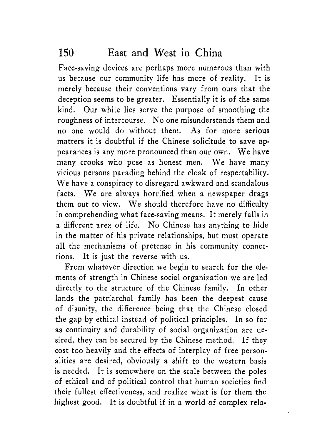Face-saving devices are perhaps more numerous than with us because our community life has more of reality. It is merely because their conventions vary from ours that the deception seems to be greater. Essentially it is of the same kind. Our white lies serve the purpose of smoothing the roughness of intercourse. No one misunderstands them and no one would do without them. **As** for more serious matters it is doubtful if the Chinese solicitude to save appearances is any more pronounced than our own. We have many crooks who pose as honest men. We have many vicious persons parading behind the cloak of respectability. We have a conspiracy to disregard awkward and scandalous facts. We are always horrified when a newspaper drags them out to view. We should therefore have no difficulty in comprehending what face-saving means. It merely falls in a different area of life. No Chinese has anything to hide in the matter of his private relationships, but must operate all the mechanisms of pretense in his community connections. It is just the reverse with us.

From whatever direction we begin to search for the elements of strength in Chinese social organization we are led directly to the structure of the Chinese family. In other lands the patriarchal family has been the deepest cause of disunity, the difference being that the Chinese closed the gap by ethical instead of political principles. In so far as continuity and durability of social organization are desired, they can be secured by the Chinese method. If they cost too heavily and the effects of interplay of free personalities are desired, obviously a shift to the western basis is needed. It is somewhere on the scale between the poles of ethical and of political control that human societies find their fullest effectiveness, and realize what is for them the highest good. It is doubtful if in a world of complex rela-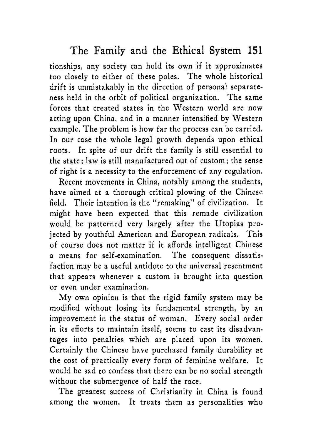tionships, any society can hold its own if it approximates too closely to either of these poles. The whole historical drift is unmistakably in the direction of personal separateness held in the orbit of political organization. The same forces that created states in the Western world are now acting upon China, and in a manner intensified by Western example. The problem is how far the process can be carried. In our case the whole legal growth depends upon ethical roots. In spite of our drift the family is still essential to the state; law is still manufactured out of custom; the sense of right is a necessity to the enforcement of any regulation.

Recent movements in China, notably among the students, have aimed at a thorough critical plowing of the Chinese field. Their intention is the "remaking" of civilization. It might have been expected that this remade civilization would be patterned very largely after the Utopias projected by youthful American and European radicals. This of course does not matter if it affords intelligent Chinese a means for self-examination. The consequent dissatisfaction may be a useful antidote to the universal resentment that appears whenever a custom is brought into question or even under examination.

My own opinion is that the rigid family system may be modified without losing its fundamental strength, by an improvement in the status of woman. Every social order in its efforts to maintain itself, seems to cast its disadvantages into penalties which are placed upon its women. Certainly the Chinese have purchased family durability at the cost of practically every form of feminine welfare. It would be sad to confess that there can be no social strength without the submergence of half the race.

The greatest success of Christianity in China is found among the women. It treats them as personalities who